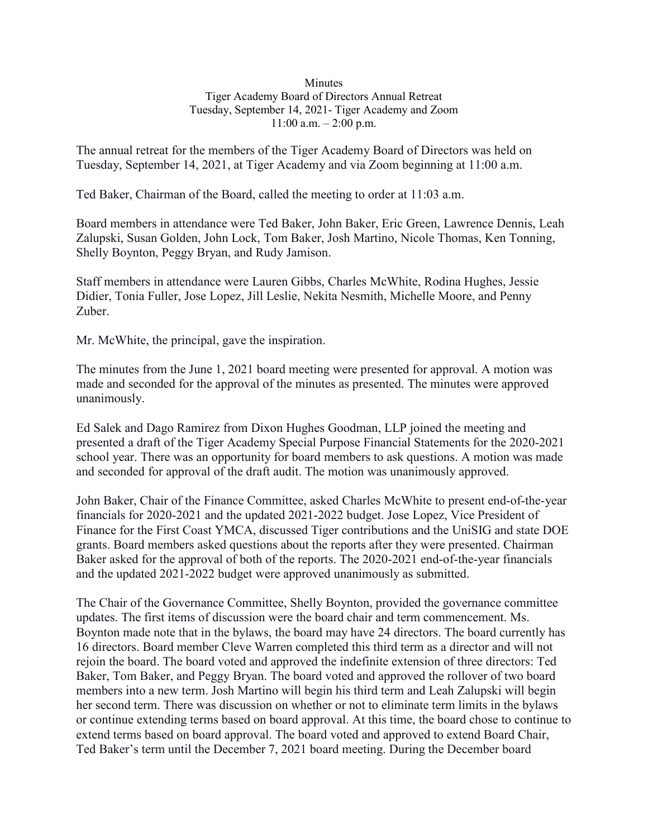## Minutes Tiger Academy Board of Directors Annual Retreat Tuesday, September 14, 2021- Tiger Academy and Zoom  $11:00$  a.m.  $-2:00$  p.m.

The annual retreat for the members of the Tiger Academy Board of Directors was held on Tuesday, September 14, 2021, at Tiger Academy and via Zoom beginning at 11:00 a.m.

Ted Baker, Chairman of the Board, called the meeting to order at 11:03 a.m.

Board members in attendance were Ted Baker, John Baker, Eric Green, Lawrence Dennis, Leah Zalupski, Susan Golden, John Lock, Tom Baker, Josh Martino, Nicole Thomas, Ken Tonning, Shelly Boynton, Peggy Bryan, and Rudy Jamison.

Staff members in attendance were Lauren Gibbs, Charles McWhite, Rodina Hughes, Jessie Didier, Tonia Fuller, Jose Lopez, Jill Leslie, Nekita Nesmith, Michelle Moore, and Penny Zuber.

Mr. McWhite, the principal, gave the inspiration.

The minutes from the June 1, 2021 board meeting were presented for approval. A motion was made and seconded for the approval of the minutes as presented. The minutes were approved unanimously.

Ed Salek and Dago Ramirez from Dixon Hughes Goodman, LLP joined the meeting and presented a draft of the Tiger Academy Special Purpose Financial Statements for the 2020-2021 school year. There was an opportunity for board members to ask questions. A motion was made and seconded for approval of the draft audit. The motion was unanimously approved.

John Baker, Chair of the Finance Committee, asked Charles McWhite to present end-of-the-year financials for 2020-2021 and the updated 2021-2022 budget. Jose Lopez, Vice President of Finance for the First Coast YMCA, discussed Tiger contributions and the UniSIG and state DOE grants. Board members asked questions about the reports after they were presented. Chairman Baker asked for the approval of both of the reports. The 2020-2021 end-of-the-year financials and the updated 2021-2022 budget were approved unanimously as submitted.

The Chair of the Governance Committee, Shelly Boynton, provided the governance committee updates. The first items of discussion were the board chair and term commencement. Ms. Boynton made note that in the bylaws, the board may have 24 directors. The board currently has 16 directors. Board member Cleve Warren completed this third term as a director and will not rejoin the board. The board voted and approved the indefinite extension of three directors: Ted Baker, Tom Baker, and Peggy Bryan. The board voted and approved the rollover of two board members into a new term. Josh Martino will begin his third term and Leah Zalupski will begin her second term. There was discussion on whether or not to eliminate term limits in the bylaws or continue extending terms based on board approval. At this time, the board chose to continue to extend terms based on board approval. The board voted and approved to extend Board Chair, Ted Baker's term until the December 7, 2021 board meeting. During the December board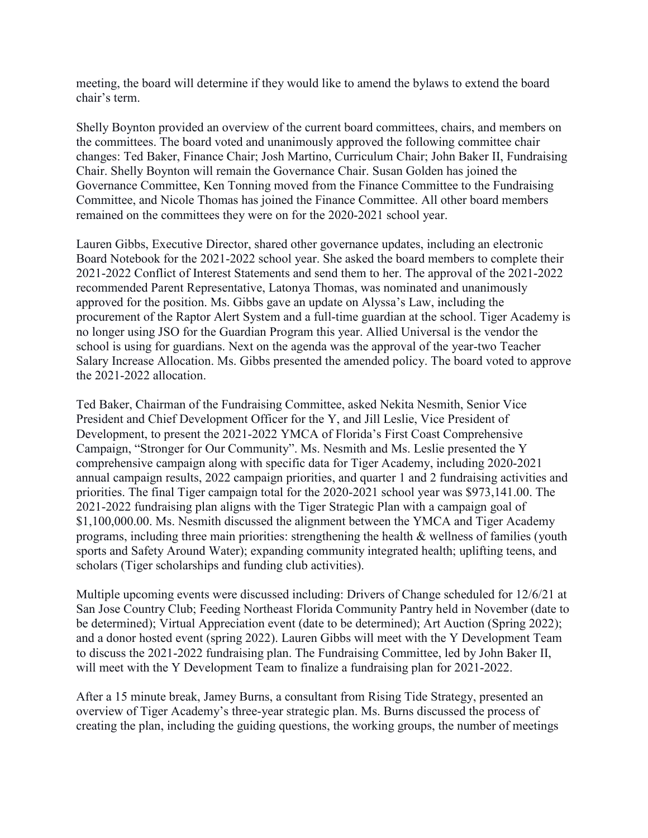meeting, the board will determine if they would like to amend the bylaws to extend the board chair's term.

Shelly Boynton provided an overview of the current board committees, chairs, and members on the committees. The board voted and unanimously approved the following committee chair changes: Ted Baker, Finance Chair; Josh Martino, Curriculum Chair; John Baker II, Fundraising Chair. Shelly Boynton will remain the Governance Chair. Susan Golden has joined the Governance Committee, Ken Tonning moved from the Finance Committee to the Fundraising Committee, and Nicole Thomas has joined the Finance Committee. All other board members remained on the committees they were on for the 2020-2021 school year.

Lauren Gibbs, Executive Director, shared other governance updates, including an electronic Board Notebook for the 2021-2022 school year. She asked the board members to complete their 2021-2022 Conflict of Interest Statements and send them to her. The approval of the 2021-2022 recommended Parent Representative, Latonya Thomas, was nominated and unanimously approved for the position. Ms. Gibbs gave an update on Alyssa's Law, including the procurement of the Raptor Alert System and a full-time guardian at the school. Tiger Academy is no longer using JSO for the Guardian Program this year. Allied Universal is the vendor the school is using for guardians. Next on the agenda was the approval of the year-two Teacher Salary Increase Allocation. Ms. Gibbs presented the amended policy. The board voted to approve the 2021-2022 allocation.

Ted Baker, Chairman of the Fundraising Committee, asked Nekita Nesmith, Senior Vice President and Chief Development Officer for the Y, and Jill Leslie, Vice President of Development, to present the 2021-2022 YMCA of Florida's First Coast Comprehensive Campaign, "Stronger for Our Community". Ms. Nesmith and Ms. Leslie presented the Y comprehensive campaign along with specific data for Tiger Academy, including 2020-2021 annual campaign results, 2022 campaign priorities, and quarter 1 and 2 fundraising activities and priorities. The final Tiger campaign total for the 2020-2021 school year was \$973,141.00. The 2021-2022 fundraising plan aligns with the Tiger Strategic Plan with a campaign goal of \$1,100,000.00. Ms. Nesmith discussed the alignment between the YMCA and Tiger Academy programs, including three main priorities: strengthening the health & wellness of families (youth sports and Safety Around Water); expanding community integrated health; uplifting teens, and scholars (Tiger scholarships and funding club activities).

Multiple upcoming events were discussed including: Drivers of Change scheduled for 12/6/21 at San Jose Country Club; Feeding Northeast Florida Community Pantry held in November (date to be determined); Virtual Appreciation event (date to be determined); Art Auction (Spring 2022); and a donor hosted event (spring 2022). Lauren Gibbs will meet with the Y Development Team to discuss the 2021-2022 fundraising plan. The Fundraising Committee, led by John Baker II, will meet with the Y Development Team to finalize a fundraising plan for 2021-2022.

After a 15 minute break, Jamey Burns, a consultant from Rising Tide Strategy, presented an overview of Tiger Academy's three-year strategic plan. Ms. Burns discussed the process of creating the plan, including the guiding questions, the working groups, the number of meetings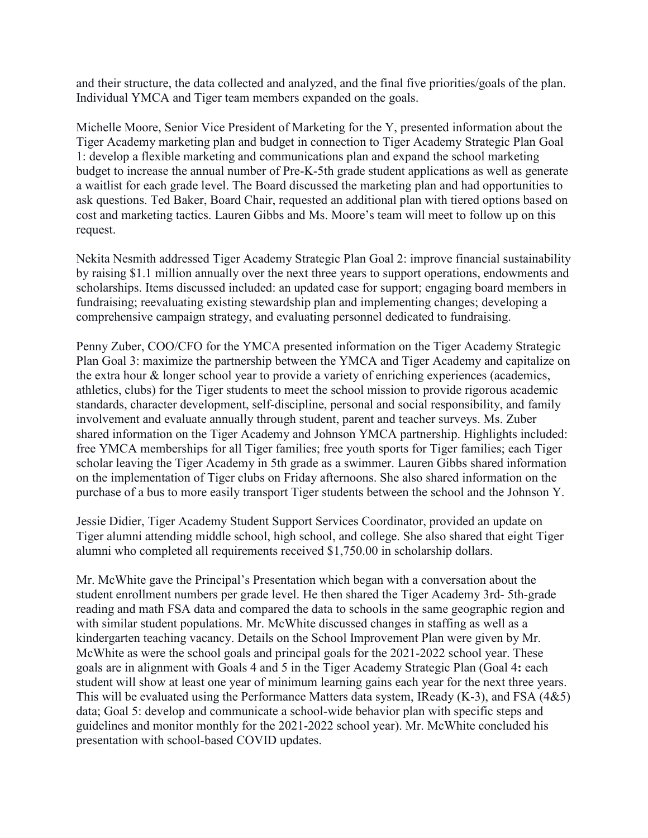and their structure, the data collected and analyzed, and the final five priorities/goals of the plan. Individual YMCA and Tiger team members expanded on the goals.

Michelle Moore, Senior Vice President of Marketing for the Y, presented information about the Tiger Academy marketing plan and budget in connection to Tiger Academy Strategic Plan Goal 1: develop a flexible marketing and communications plan and expand the school marketing budget to increase the annual number of Pre-K-5th grade student applications as well as generate a waitlist for each grade level. The Board discussed the marketing plan and had opportunities to ask questions. Ted Baker, Board Chair, requested an additional plan with tiered options based on cost and marketing tactics. Lauren Gibbs and Ms. Moore's team will meet to follow up on this request.

Nekita Nesmith addressed Tiger Academy Strategic Plan Goal 2: improve financial sustainability by raising \$1.1 million annually over the next three years to support operations, endowments and scholarships. Items discussed included: an updated case for support; engaging board members in fundraising; reevaluating existing stewardship plan and implementing changes; developing a comprehensive campaign strategy, and evaluating personnel dedicated to fundraising.

Penny Zuber, COO/CFO for the YMCA presented information on the Tiger Academy Strategic Plan Goal 3: maximize the partnership between the YMCA and Tiger Academy and capitalize on the extra hour & longer school year to provide a variety of enriching experiences (academics, athletics, clubs) for the Tiger students to meet the school mission to provide rigorous academic standards, character development, self-discipline, personal and social responsibility, and family involvement and evaluate annually through student, parent and teacher surveys. Ms. Zuber shared information on the Tiger Academy and Johnson YMCA partnership. Highlights included: free YMCA memberships for all Tiger families; free youth sports for Tiger families; each Tiger scholar leaving the Tiger Academy in 5th grade as a swimmer. Lauren Gibbs shared information on the implementation of Tiger clubs on Friday afternoons. She also shared information on the purchase of a bus to more easily transport Tiger students between the school and the Johnson Y.

Jessie Didier, Tiger Academy Student Support Services Coordinator, provided an update on Tiger alumni attending middle school, high school, and college. She also shared that eight Tiger alumni who completed all requirements received \$1,750.00 in scholarship dollars.

Mr. McWhite gave the Principal's Presentation which began with a conversation about the student enrollment numbers per grade level. He then shared the Tiger Academy 3rd- 5th-grade reading and math FSA data and compared the data to schools in the same geographic region and with similar student populations. Mr. McWhite discussed changes in staffing as well as a kindergarten teaching vacancy. Details on the School Improvement Plan were given by Mr. McWhite as were the school goals and principal goals for the 2021-2022 school year. These goals are in alignment with Goals 4 and 5 in the Tiger Academy Strategic Plan (Goal 4**:** each student will show at least one year of minimum learning gains each year for the next three years. This will be evaluated using the Performance Matters data system, IReady (K-3), and FSA (4&5) data; Goal 5: develop and communicate a school-wide behavior plan with specific steps and guidelines and monitor monthly for the 2021-2022 school year). Mr. McWhite concluded his presentation with school-based COVID updates.